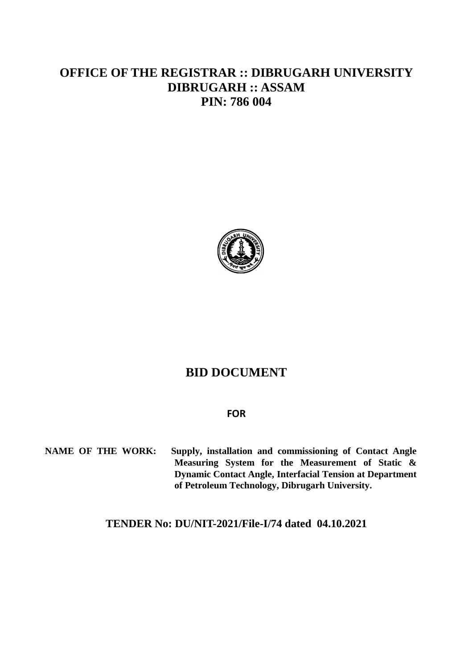# **OFFICE OF THE REGISTRAR :: DIBRUGARH UNIVERSITY DIBRUGARH :: ASSAM PIN: 786 004**



# **BID DOCUMENT**

### **FOR**

**NAME OF THE WORK: Supply, installation and commissioning of Contact Angle Measuring System for the Measurement of Static & Dynamic Contact Angle, Interfacial Tension at Department of Petroleum Technology, Dibrugarh University.**

**TENDER No: DU/NIT-2021/File-I/74 dated 04.10.2021**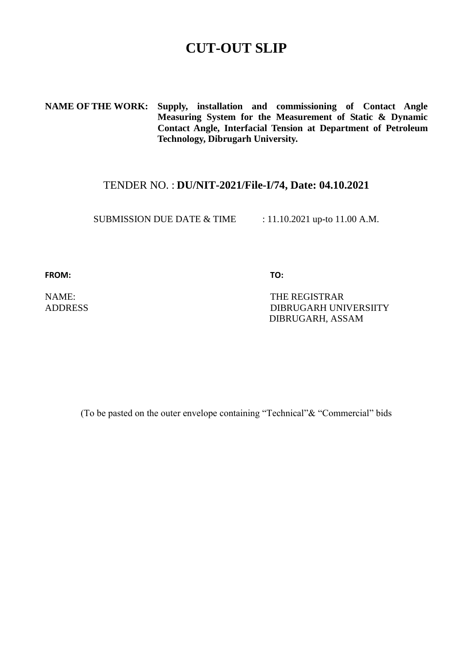# **CUT-OUT SLIP**

**NAME OF THE WORK: Supply, installation and commissioning of Contact Angle Measuring System for the Measurement of Static & Dynamic Contact Angle, Interfacial Tension at Department of Petroleum Technology, Dibrugarh University.**

# TENDER NO. : **DU/NIT-2021/File-I/74, Date: 04.10.2021**

SUBMISSION DUE DATE & TIME : 11.10.2021 up-to 11.00 A.M.

FROM: TO:

NAME: THE REGISTRAR ADDRESS DIBRUGARH UNIVERSIITY DIBRUGARH, ASSAM

(To be pasted on the outer envelope containing "Technical"& "Commercial" bids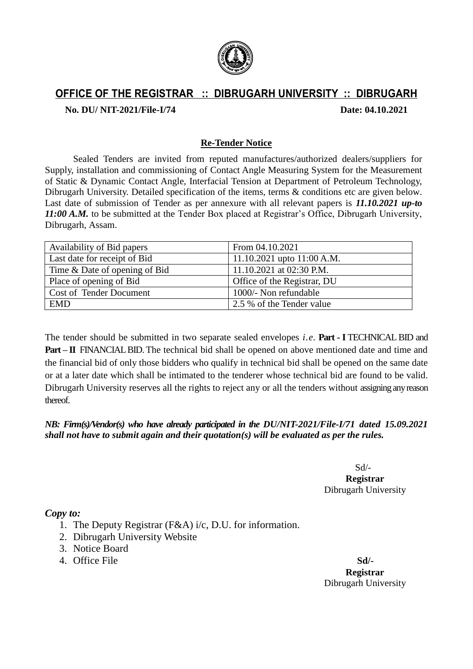

# **OFFICE OF THE REGISTRAR :: DIBRUGARH UNIVERSITY :: DIBRUGARH**

**No. DU/ NIT-2021/File-I/74 Date: 04.10.2021**

### **Re-Tender Notice**

Sealed Tenders are invited from reputed manufactures/authorized dealers/suppliers for Supply, installation and commissioning of Contact Angle Measuring System for the Measurement of Static & Dynamic Contact Angle, Interfacial Tension at Department of Petroleum Technology, Dibrugarh University. Detailed specification of the items, terms & conditions etc are given below. Last date of submission of Tender as per annexure with all relevant papers is *11.10.2021 up-to 11:00 A.M.* to be submitted at the Tender Box placed at Registrar's Office, Dibrugarh University, Dibrugarh, Assam.

| Availability of Bid papers     | From 04.10.2021              |
|--------------------------------|------------------------------|
| Last date for receipt of Bid   | 11.10.2021 upto $11:00$ A.M. |
| Time & Date of opening of Bid  | 11.10.2021 at 02:30 P.M.     |
| Place of opening of Bid        | Office of the Registrar, DU  |
| <b>Cost of Tender Document</b> | 1000/- Non refundable        |
| <b>EMD</b>                     | 2.5 % of the Tender value    |

The tender should be submitted in two separate sealed envelopes *i.e*. **Part - I** TECHNICAL BID and **Part – II** FINANCIAL BID. The technical bid shall be opened on above mentioned date and time and the financial bid of only those bidders who qualify in technical bid shall be opened on the same date or at a later date which shall be intimated to the tenderer whose technical bid are found to be valid. Dibrugarh University reserves all the rights to reject any or all the tenders without assigning any reason thereof.

# *NB: Firm(s)/Vendor(s) who have already participated in the DU/NIT-2021/File-I/71 dated 15.09.2021 shall not have to submit again and their quotation(s) will be evaluated as per the rules.*

Sd/- **Registrar** Dibrugarh University

### *Copy to:*

- 1. The Deputy Registrar (F&A) i/c, D.U. for information.
- 2. Dibrugarh University Website
- 3. Notice Board
- 4. Office File **Sd/-**

**Registrar** Dibrugarh University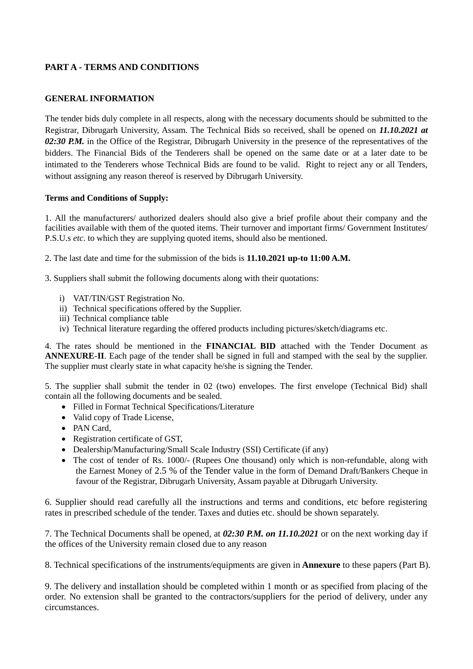## **PART A - TERMS AND CONDITIONS**

#### **GENERAL INFORMATION**

The tender bids duly complete in all respects, along with the necessary documents should be submitted to the Registrar, Dibrugarh University, Assam. The Technical Bids so received, shall be opened on *11.10.2021 at 02:30 P.M.* in the Office of the Registrar, Dibrugarh University in the presence of the representatives of the bidders. The Financial Bids of the Tenderers shall be opened on the same date or at a later date to be intimated to the Tenderers whose Technical Bids are found to be valid. Right to reject any or all Tenders, without assigning any reason thereof is reserved by Dibrugarh University.

#### **Terms and Conditions of Supply:**

1. All the manufacturers/ authorized dealers should also give a brief profile about their company and the facilities available with them of the quoted items. Their turnover and important firms/ Government Institutes/ P.S.U.s *etc*. to which they are supplying quoted items, should also be mentioned.

2. The last date and time for the submission of the bids is **11.10.2021 up-to 11:00 A.M.**

3. Suppliers shall submit the following documents along with their quotations:

- i) VAT/TIN/GST Registration No.
- ii) Technical specifications offered by the Supplier.
- iii) Technical compliance table
- iv) Technical literature regarding the offered products including pictures/sketch/diagrams etc.

4. The rates should be mentioned in the **FINANCIAL BID** attached with the Tender Document as **ANNEXURE-II**. Each page of the tender shall be signed in full and stamped with the seal by the supplier. The supplier must clearly state in what capacity he/she is signing the Tender.

5. The supplier shall submit the tender in 02 (two) envelopes. The first envelope (Technical Bid) shall contain all the following documents and be sealed.

- Filled in Format Technical Specifications/Literature
- Valid copy of Trade License,
- PAN Card,
- Registration certificate of GST,
- Dealership/Manufacturing/Small Scale Industry (SSI) Certificate (if any)
- The cost of tender of Rs. 1000/- (Rupees One thousand) only which is non-refundable, along with the Earnest Money of 2.5 % of the Tender value in the form of Demand Draft/Bankers Cheque in favour of the Registrar, Dibrugarh University, Assam payable at Dibrugarh University.

6. Supplier should read carefully all the instructions and terms and conditions, etc before registering rates in prescribed schedule of the tender. Taxes and duties etc. should be shown separately.

7. The Technical Documents shall be opened, at *02:30 P.M. on 11.10.2021* or on the next working day if the offices of the University remain closed due to any reason

8. Technical specifications of the instruments/equipments are given in **Annexure** to these papers (Part B).

9. The delivery and installation should be completed within 1 month or as specified from placing of the order. No extension shall be granted to the contractors/suppliers for the period of delivery, under any circumstances.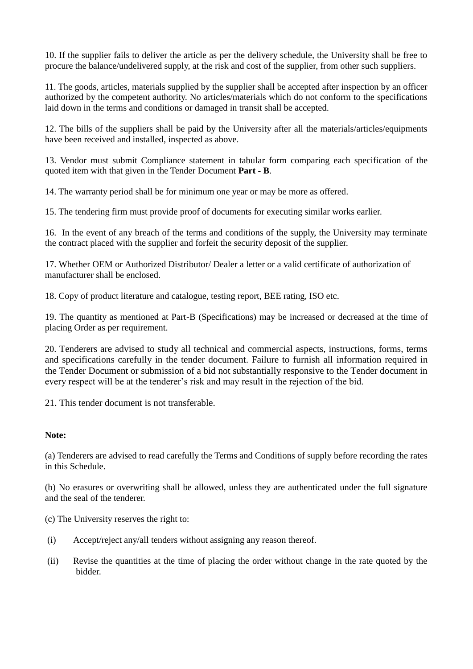10. If the supplier fails to deliver the article as per the delivery schedule, the University shall be free to procure the balance/undelivered supply, at the risk and cost of the supplier, from other such suppliers.

11. The goods, articles, materials supplied by the supplier shall be accepted after inspection by an officer authorized by the competent authority. No articles/materials which do not conform to the specifications laid down in the terms and conditions or damaged in transit shall be accepted.

12. The bills of the suppliers shall be paid by the University after all the materials/articles/equipments have been received and installed, inspected as above.

13. Vendor must submit Compliance statement in tabular form comparing each specification of the quoted item with that given in the Tender Document **Part - B**.

14. The warranty period shall be for minimum one year or may be more as offered.

15. The tendering firm must provide proof of documents for executing similar works earlier.

16. In the event of any breach of the terms and conditions of the supply, the University may terminate the contract placed with the supplier and forfeit the security deposit of the supplier.

17. Whether OEM or Authorized Distributor/ Dealer a letter or a valid certificate of authorization of manufacturer shall be enclosed.

18. Copy of product literature and catalogue, testing report, BEE rating, ISO etc.

19. The quantity as mentioned at Part-B (Specifications) may be increased or decreased at the time of placing Order as per requirement.

20. Tenderers are advised to study all technical and commercial aspects, instructions, forms, terms and specifications carefully in the tender document. Failure to furnish all information required in the Tender Document or submission of a bid not substantially responsive to the Tender document in every respect will be at the tenderer's risk and may result in the rejection of the bid.

21. This tender document is not transferable.

#### **Note:**

(a) Tenderers are advised to read carefully the Terms and Conditions of supply before recording the rates in this Schedule.

(b) No erasures or overwriting shall be allowed, unless they are authenticated under the full signature and the seal of the tenderer.

(c) The University reserves the right to:

- (i) Accept/reject any/all tenders without assigning any reason thereof.
- (ii) Revise the quantities at the time of placing the order without change in the rate quoted by the bidder.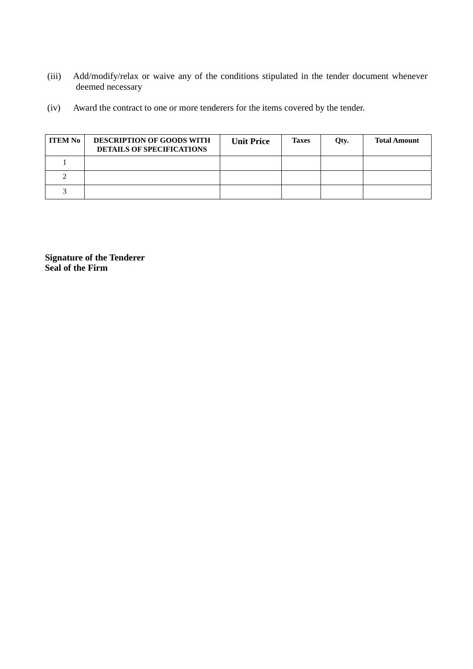- (iii) Add/modify/relax or waive any of the conditions stipulated in the tender document whenever deemed necessary
- (iv) Award the contract to one or more tenderers for the items covered by the tender.

| <b>ITEM No</b> | <b>DESCRIPTION OF GOODS WITH</b><br><b>DETAILS OF SPECIFICATIONS</b> | <b>Unit Price</b> | <b>Taxes</b> | Qty. | <b>Total Amount</b> |
|----------------|----------------------------------------------------------------------|-------------------|--------------|------|---------------------|
|                |                                                                      |                   |              |      |                     |
|                |                                                                      |                   |              |      |                     |
|                |                                                                      |                   |              |      |                     |

**Signature of the Tenderer Seal of the Firm**